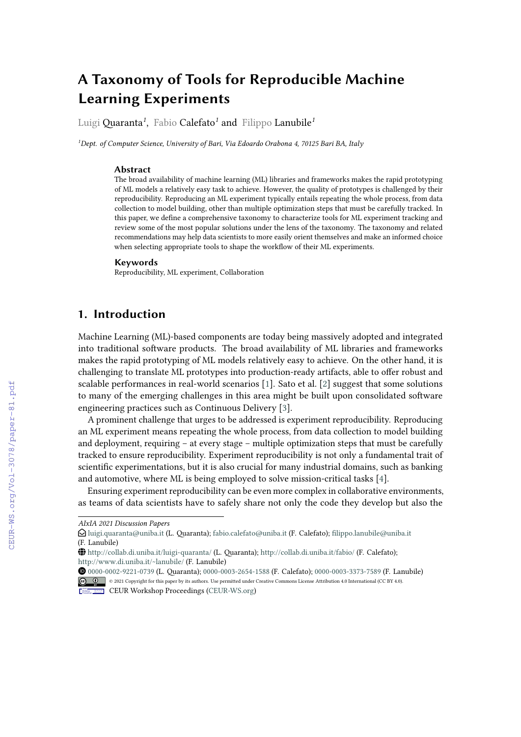# **A Taxonomy of Tools for Reproducible Machine Learning Experiments**

Luigi Quaranta*<sup>1</sup>* , Fabio Calefato*<sup>1</sup>* and Filippo Lanubile*<sup>1</sup>*

*<sup>1</sup>Dept. of Computer Science, University of Bari, Via Edoardo Orabona 4, 70125 Bari BA, Italy*

#### **Abstract**

The broad availability of machine learning (ML) libraries and frameworks makes the rapid prototyping of ML models a relatively easy task to achieve. However, the quality of prototypes is challenged by their reproducibility. Reproducing an ML experiment typically entails repeating the whole process, from data collection to model building, other than multiple optimization steps that must be carefully tracked. In this paper, we define a comprehensive taxonomy to characterize tools for ML experiment tracking and review some of the most popular solutions under the lens of the taxonomy. The taxonomy and related recommendations may help data scientists to more easily orient themselves and make an informed choice when selecting appropriate tools to shape the workflow of their ML experiments.

#### **Keywords**

Reproducibility, ML experiment, Collaboration

# **1. Introduction**

Machine Learning (ML)-based components are today being massively adopted and integrated into traditional software products. The broad availability of ML libraries and frameworks makes the rapid prototyping of ML models relatively easy to achieve. On the other hand, it is challenging to translate ML prototypes into production-ready artifacts, able to offer robust and scalable performances in real-world scenarios [\[1\]](#page--1-0). Sato et al. [\[2\]](#page--1-1) suggest that some solutions to many of the emerging challenges in this area might be built upon consolidated software engineering practices such as Continuous Delivery [\[3\]](#page--1-2).

A prominent challenge that urges to be addressed is experiment reproducibility. Reproducing an ML experiment means repeating the whole process, from data collection to model building and deployment, requiring – at every stage – multiple optimization steps that must be carefully tracked to ensure reproducibility. Experiment reproducibility is not only a fundamental trait of scientific experimentations, but it is also crucial for many industrial domains, such as banking and automotive, where ML is being employed to solve mission-critical tasks [\[4\]](#page--1-3).

Ensuring experiment reproducibility can be even more complex in collaborative environments, as teams of data scientists have to safely share not only the code they develop but also the

Orcid [0000-0002-9221-0739](https://orcid.org/0000-0002-9221-0739) (L. Quaranta); [0000-0003-2654-1588](https://orcid.org/0000-0003-2654-1588) (F. Calefato); [0000-0003-3373-7589](https://orcid.org/0000-0003-3373-7589) (F. Lanubile) © 2021 Copyright for this paper by its authors. Use permitted under Creative Commons License Attribution 4.0 International (CC BY 4.0).

*AIxIA 2021 Discussion Papers*

 $\bigcirc$ [luigi.quaranta@uniba.it](mailto:luigi.quaranta@uniba.it) (L. Quaranta); [fabio.calefato@uniba.it](mailto:fabio.calefato@uniba.it) (F. Calefato); [filippo.lanubile@uniba.it](mailto:filippo.lanubile@uniba.it) (F. Lanubile)

GLOBE <http://collab.di.uniba.it/luigi-quaranta/> (L. Quaranta); <http://collab.di.uniba.it/fabio/> (F. Calefato); <http://www.di.uniba.it/~lanubile/> (F. Lanubile)

CEUR Workshop [Proceedings](http://ceur-ws.org) [\(CEUR-WS.org\)](http://ceur-ws.org)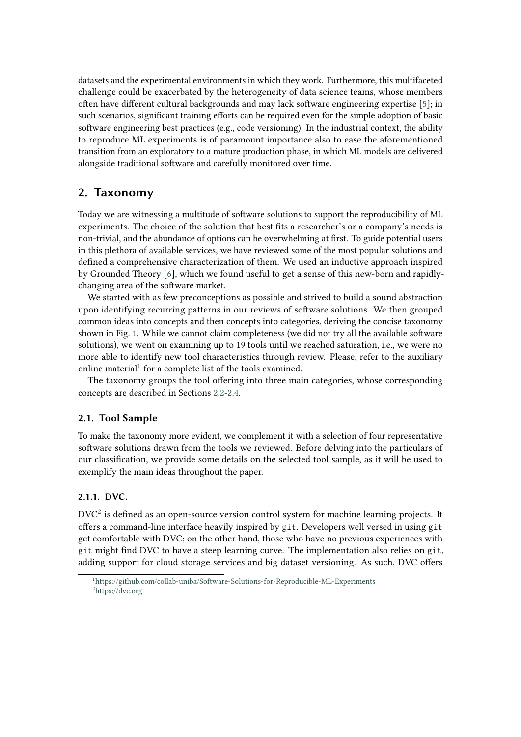datasets and the experimental environments in which they work. Furthermore, this multifaceted challenge could be exacerbated by the heterogeneity of data science teams, whose members often have different cultural backgrounds and may lack software engineering expertise [\[5\]](#page-10-0); in such scenarios, significant training efforts can be required even for the simple adoption of basic software engineering best practices (e.g., code versioning). In the industrial context, the ability to reproduce ML experiments is of paramount importance also to ease the aforementioned transition from an exploratory to a mature production phase, in which ML models are delivered alongside traditional software and carefully monitored over time.

# **2. Taxonomy**

Today we are witnessing a multitude of software solutions to support the reproducibility of ML experiments. The choice of the solution that best fits a researcher's or a company's needs is non-trivial, and the abundance of options can be overwhelming at first. To guide potential users in this plethora of available services, we have reviewed some of the most popular solutions and defined a comprehensive characterization of them. We used an inductive approach inspired by Grounded Theory [\[6\]](#page-11-0), which we found useful to get a sense of this new-born and rapidlychanging area of the software market.

We started with as few preconceptions as possible and strived to build a sound abstraction upon identifying recurring patterns in our reviews of software solutions. We then grouped common ideas into concepts and then concepts into categories, deriving the concise taxonomy shown in Fig. [1.](#page-2-0) While we cannot claim completeness (we did not try all the available software solutions), we went on examining up to 19 tools until we reached saturation, i.e., we were no more able to identify new tool characteristics through review. Please, refer to the auxiliary online material<sup>[1](#page-1-0)</sup> for a complete list of the tools examined.

The taxonomy groups the tool offering into three main categories, whose corresponding concepts are described in Sections [2.2](#page-4-0)[-2.4.](#page-8-0)

# **2.1. Tool Sample**

To make the taxonomy more evident, we complement it with a selection of four representative software solutions drawn from the tools we reviewed. Before delving into the particulars of our classification, we provide some details on the selected tool sample, as it will be used to exemplify the main ideas throughout the paper.

# **2.1.1. DVC.**

 $\mathrm{DVC}^2$  $\mathrm{DVC}^2$  is defined as an open-source version control system for machine learning projects. It offers a command-line interface heavily inspired by git. Developers well versed in using git get comfortable with DVC; on the other hand, those who have no previous experiences with git might find DVC to have a steep learning curve. The implementation also relies on git, adding support for cloud storage services and big dataset versioning. As such, DVC offers

<span id="page-1-1"></span><span id="page-1-0"></span><sup>1</sup><https://github.com/collab-uniba/Software-Solutions-for-Reproducible-ML-Experiments> <sup>2</sup><https://dvc.org>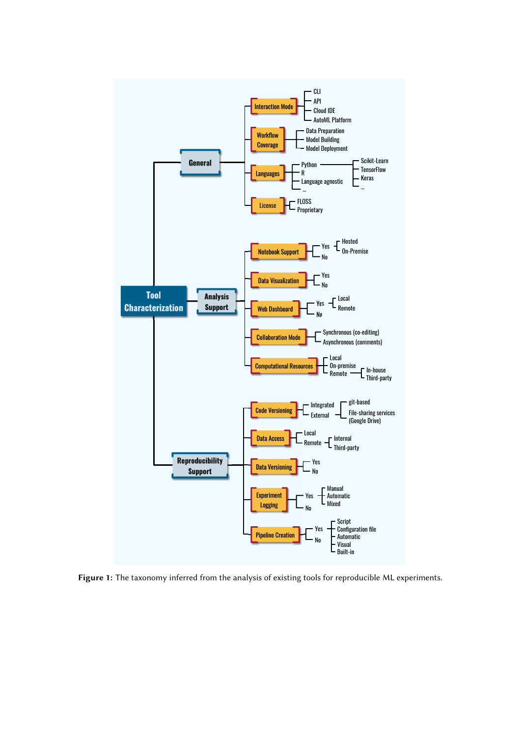

<span id="page-2-0"></span>**Figure 1:** The taxonomy inferred from the analysis of existing tools for reproducible ML experiments.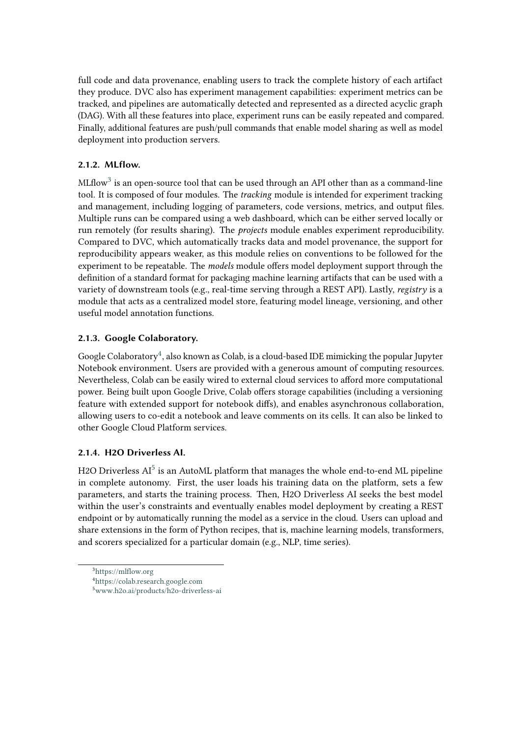full code and data provenance, enabling users to track the complete history of each artifact they produce. DVC also has experiment management capabilities: experiment metrics can be tracked, and pipelines are automatically detected and represented as a directed acyclic graph (DAG). With all these features into place, experiment runs can be easily repeated and compared. Finally, additional features are push/pull commands that enable model sharing as well as model deployment into production servers.

# **2.1.2. MLflow.**

MLflow $^3$  $^3$  is an open-source tool that can be used through an API other than as a command-line tool. It is composed of four modules. The *tracking* module is intended for experiment tracking and management, including logging of parameters, code versions, metrics, and output files. Multiple runs can be compared using a web dashboard, which can be either served locally or run remotely (for results sharing). The *projects* module enables experiment reproducibility. Compared to DVC, which automatically tracks data and model provenance, the support for reproducibility appears weaker, as this module relies on conventions to be followed for the experiment to be repeatable. The *models* module offers model deployment support through the definition of a standard format for packaging machine learning artifacts that can be used with a variety of downstream tools (e.g., real-time serving through a REST API). Lastly, *registry* is a module that acts as a centralized model store, featuring model lineage, versioning, and other useful model annotation functions.

# **2.1.3. Google Colaboratory.**

Google Colaboratory<sup>[4](#page-3-1)</sup>, also known as Colab, is a cloud-based IDE mimicking the popular Jupyter Notebook environment. Users are provided with a generous amount of computing resources. Nevertheless, Colab can be easily wired to external cloud services to afford more computational power. Being built upon Google Drive, Colab offers storage capabilities (including a versioning feature with extended support for notebook diffs), and enables asynchronous collaboration, allowing users to co-edit a notebook and leave comments on its cells. It can also be linked to other Google Cloud Platform services.

# **2.1.4. H2O Driverless AI.**

H2O Driverless  $\mathrm{AI}^5$  $\mathrm{AI}^5$  is an AutoML platform that manages the whole end-to-end ML pipeline in complete autonomy. First, the user loads his training data on the platform, sets a few parameters, and starts the training process. Then, H2O Driverless AI seeks the best model within the user's constraints and eventually enables model deployment by creating a REST endpoint or by automatically running the model as a service in the cloud. Users can upload and share extensions in the form of Python recipes, that is, machine learning models, transformers, and scorers specialized for a particular domain (e.g., NLP, time series).

<span id="page-3-0"></span><sup>3</sup><https://mlflow.org>

<span id="page-3-1"></span><sup>4</sup><https://colab.research.google.com>

<span id="page-3-2"></span><sup>5</sup><www.h2o.ai/products/h2o-driverless-ai>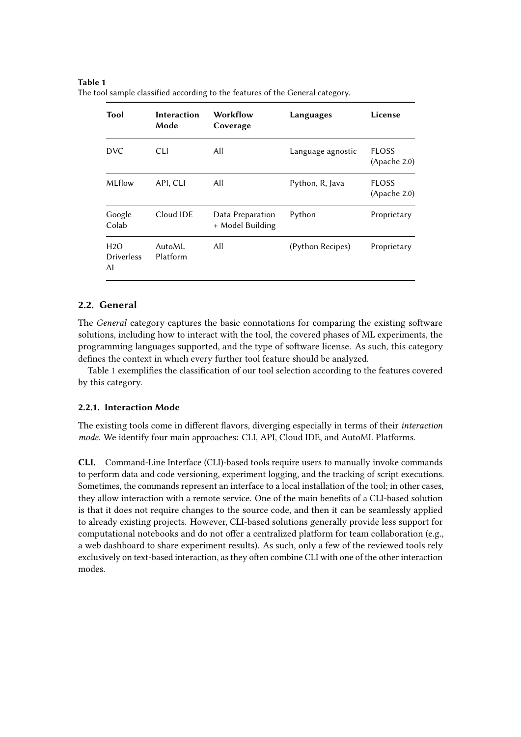#### <span id="page-4-1"></span>**Table 1**

| Tool                           | <b>Interaction</b><br>Mode | Workflow<br>Coverage                 | Languages         | License                      |
|--------------------------------|----------------------------|--------------------------------------|-------------------|------------------------------|
| <b>DVC</b>                     | <b>CLI</b>                 | All                                  | Language agnostic | <b>FLOSS</b><br>(Apache 2.0) |
| MLflow                         | API, CLI                   | All                                  | Python, R, Java   | <b>FLOSS</b><br>(Apace 2.0)  |
| Google<br>Colab                | Cloud IDE                  | Data Preparation<br>+ Model Building | Python            | Proprietary                  |
| H2O<br><b>Driverless</b><br>AI | AutoML<br>Platform         | All                                  | (Python Recipes)  | Proprietary                  |

The tool sample classified according to the features of the General category.

# <span id="page-4-0"></span>**2.2. General**

The *General* category captures the basic connotations for comparing the existing software solutions, including how to interact with the tool, the covered phases of ML experiments, the programming languages supported, and the type of software license. As such, this category defines the context in which every further tool feature should be analyzed.

Table [1](#page-4-1) exemplifies the classification of our tool selection according to the features covered by this category.

#### **2.2.1. Interaction Mode**

The existing tools come in different flavors, diverging especially in terms of their *interaction mode*. We identify four main approaches: CLI, API, Cloud IDE, and AutoML Platforms.

**CLI.** Command-Line Interface (CLI)-based tools require users to manually invoke commands to perform data and code versioning, experiment logging, and the tracking of script executions. Sometimes, the commands represent an interface to a local installation of the tool; in other cases, they allow interaction with a remote service. One of the main benefits of a CLI-based solution is that it does not require changes to the source code, and then it can be seamlessly applied to already existing projects. However, CLI-based solutions generally provide less support for computational notebooks and do not offer a centralized platform for team collaboration (e.g., a web dashboard to share experiment results). As such, only a few of the reviewed tools rely exclusively on text-based interaction, as they often combine CLI with one of the other interaction modes.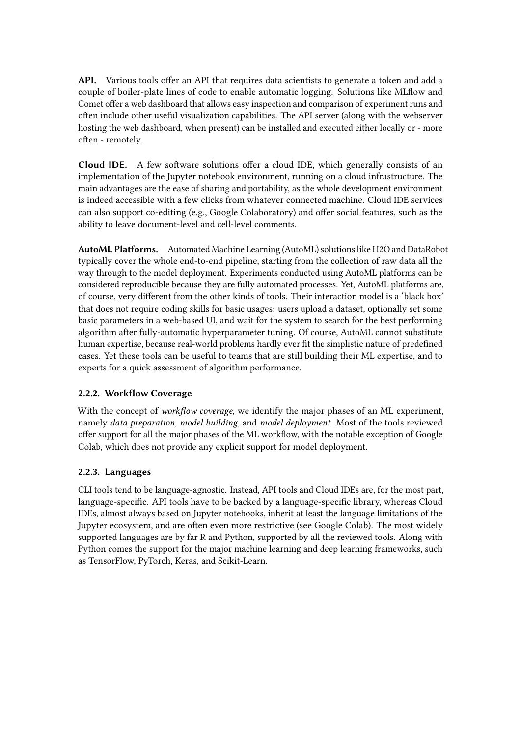**API.** Various tools offer an API that requires data scientists to generate a token and add a couple of boiler-plate lines of code to enable automatic logging. Solutions like MLflow and Comet offer a web dashboard that allows easy inspection and comparison of experiment runs and often include other useful visualization capabilities. The API server (along with the webserver hosting the web dashboard, when present) can be installed and executed either locally or - more often - remotely.

**Cloud IDE.** A few software solutions offer a cloud IDE, which generally consists of an implementation of the Jupyter notebook environment, running on a cloud infrastructure. The main advantages are the ease of sharing and portability, as the whole development environment is indeed accessible with a few clicks from whatever connected machine. Cloud IDE services can also support co-editing (e.g., Google Colaboratory) and offer social features, such as the ability to leave document-level and cell-level comments.

**AutoML Platforms.** Automated Machine Learning (AutoML) solutions like H2O and DataRobot typically cover the whole end-to-end pipeline, starting from the collection of raw data all the way through to the model deployment. Experiments conducted using AutoML platforms can be considered reproducible because they are fully automated processes. Yet, AutoML platforms are, of course, very different from the other kinds of tools. Their interaction model is a 'black box' that does not require coding skills for basic usages: users upload a dataset, optionally set some basic parameters in a web-based UI, and wait for the system to search for the best performing algorithm after fully-automatic hyperparameter tuning. Of course, AutoML cannot substitute human expertise, because real-world problems hardly ever fit the simplistic nature of predefined cases. Yet these tools can be useful to teams that are still building their ML expertise, and to experts for a quick assessment of algorithm performance.

# **2.2.2. Workflow Coverage**

With the concept of *workflow coverage*, we identify the major phases of an ML experiment, namely *data preparation*, *model building*, and *model deployment*. Most of the tools reviewed offer support for all the major phases of the ML workflow, with the notable exception of Google Colab, which does not provide any explicit support for model deployment.

# **2.2.3. Languages**

CLI tools tend to be language-agnostic. Instead, API tools and Cloud IDEs are, for the most part, language-specific. API tools have to be backed by a language-specific library, whereas Cloud IDEs, almost always based on Jupyter notebooks, inherit at least the language limitations of the Jupyter ecosystem, and are often even more restrictive (see Google Colab). The most widely supported languages are by far R and Python, supported by all the reviewed tools. Along with Python comes the support for the major machine learning and deep learning frameworks, such as TensorFlow, PyTorch, Keras, and Scikit-Learn.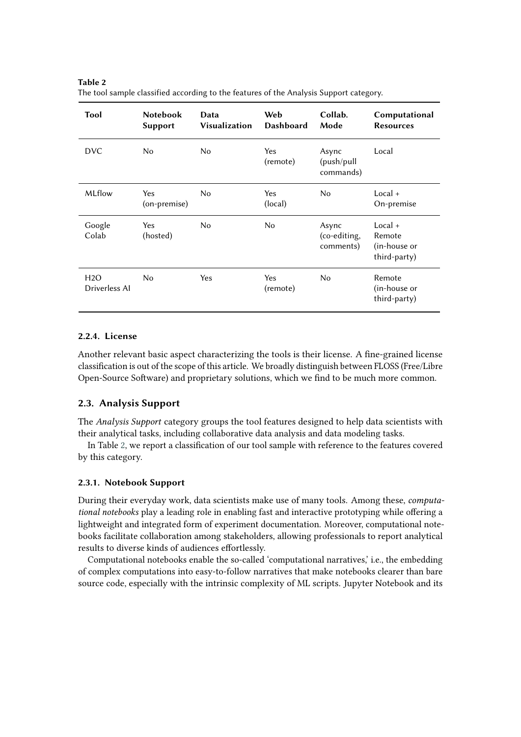The tool sample classified according to the features of the Analysis Support category. **Tool Notebook Support Data Visualization Web Dashboard Collab. Mode Computational Resources** DVC No No Yes Async Local

No Yes

No Yes Yes

(remote)

(local)

(remote)

No No Async

(push/pull commands)

(co-editing, comments)

No Local +

No Remote

On-premise

(in-house or third-party)

Local + Remote (in-house or third-party)

<span id="page-6-0"></span>

| Table 2                                                                              |  |  |
|--------------------------------------------------------------------------------------|--|--|
| The tool sample classified according to the features of the Analysis Support categor |  |  |

Yes (hosted)

(on-premise)

# **2.2.4. License**

Driverless AI

MLflow Yes

Google Colab

H2O

Another relevant basic aspect characterizing the tools is their license. A fine-grained license classification is out of the scope of this article. We broadly distinguish between FLOSS (Free/Libre Open-Source Software) and proprietary solutions, which we find to be much more common.

# **2.3. Analysis Support**

The *Analysis Support* category groups the tool features designed to help data scientists with their analytical tasks, including collaborative data analysis and data modeling tasks.

In Table [2,](#page-6-0) we report a classification of our tool sample with reference to the features covered by this category.

#### **2.3.1. Notebook Support**

During their everyday work, data scientists make use of many tools. Among these, *computational notebooks* play a leading role in enabling fast and interactive prototyping while offering a lightweight and integrated form of experiment documentation. Moreover, computational notebooks facilitate collaboration among stakeholders, allowing professionals to report analytical results to diverse kinds of audiences effortlessly.

Computational notebooks enable the so-called 'computational narratives,' i.e., the embedding of complex computations into easy-to-follow narratives that make notebooks clearer than bare source code, especially with the intrinsic complexity of ML scripts. Jupyter Notebook and its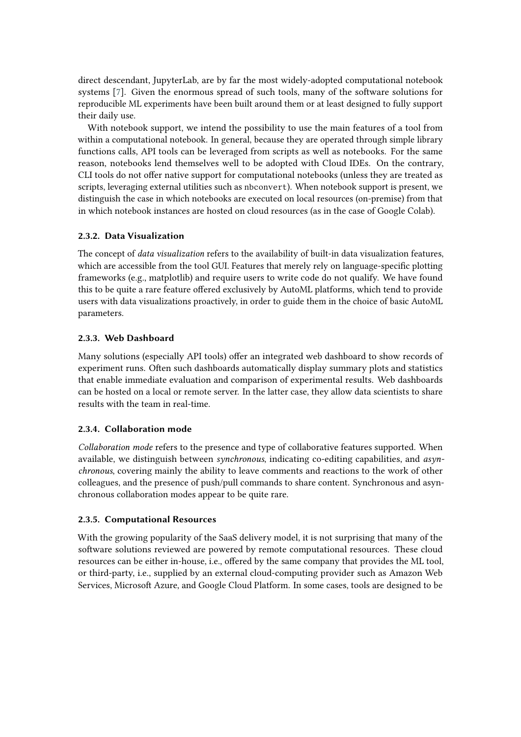direct descendant, JupyterLab, are by far the most widely-adopted computational notebook systems [\[7\]](#page-11-1). Given the enormous spread of such tools, many of the software solutions for reproducible ML experiments have been built around them or at least designed to fully support their daily use.

With notebook support, we intend the possibility to use the main features of a tool from within a computational notebook. In general, because they are operated through simple library functions calls, API tools can be leveraged from scripts as well as notebooks. For the same reason, notebooks lend themselves well to be adopted with Cloud IDEs. On the contrary, CLI tools do not offer native support for computational notebooks (unless they are treated as scripts, leveraging external utilities such as nbconvert). When notebook support is present, we distinguish the case in which notebooks are executed on local resources (on-premise) from that in which notebook instances are hosted on cloud resources (as in the case of Google Colab).

# **2.3.2. Data Visualization**

The concept of *data visualization* refers to the availability of built-in data visualization features, which are accessible from the tool GUI. Features that merely rely on language-specific plotting frameworks (e.g., matplotlib) and require users to write code do not qualify. We have found this to be quite a rare feature offered exclusively by AutoML platforms, which tend to provide users with data visualizations proactively, in order to guide them in the choice of basic AutoML parameters.

#### **2.3.3. Web Dashboard**

Many solutions (especially API tools) offer an integrated web dashboard to show records of experiment runs. Often such dashboards automatically display summary plots and statistics that enable immediate evaluation and comparison of experimental results. Web dashboards can be hosted on a local or remote server. In the latter case, they allow data scientists to share results with the team in real-time.

#### **2.3.4. Collaboration mode**

*Collaboration mode* refers to the presence and type of collaborative features supported. When available, we distinguish between *synchronous*, indicating co-editing capabilities, and *asynchronous*, covering mainly the ability to leave comments and reactions to the work of other colleagues, and the presence of push/pull commands to share content. Synchronous and asynchronous collaboration modes appear to be quite rare.

#### **2.3.5. Computational Resources**

With the growing popularity of the SaaS delivery model, it is not surprising that many of the software solutions reviewed are powered by remote computational resources. These cloud resources can be either in-house, i.e., offered by the same company that provides the ML tool, or third-party, i.e., supplied by an external cloud-computing provider such as Amazon Web Services, Microsoft Azure, and Google Cloud Platform. In some cases, tools are designed to be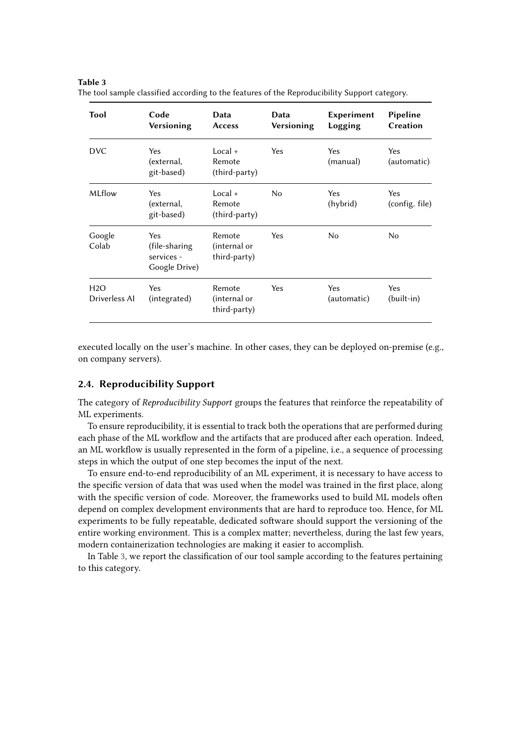#### <span id="page-8-1"></span>**Table 3**

| Tool                 | Code<br>Versioning                                   | Data<br><b>Access</b>                  | Data<br>Versioning | Experiment<br>Logging | Pipeline<br>Creation  |
|----------------------|------------------------------------------------------|----------------------------------------|--------------------|-----------------------|-----------------------|
| <b>DVC</b>           | Yes<br>(external,<br>git-based)                      | $Local +$<br>Remote<br>(third-party)   | Yes                | Yes<br>(manual)       | Yes<br>(automatic)    |
| MLflow               | Yes<br>(external,<br>git-based)                      | $Local +$<br>Remote<br>(third-party)   | No                 | Yes<br>(hybrid)       | Yes<br>(config. file) |
| Google<br>Colab      | Yes<br>(file-sharing)<br>services -<br>Google Drive) | Remote<br>(internal or<br>third-party) | <b>Yes</b>         | No.                   | No                    |
| H2O<br>Driverless AI | Yes<br>(integrated)                                  | Remote<br>(internal or<br>third-party) | Yes                | Yes<br>(automatic)    | Yes<br>(built-in)     |

The tool sample classified according to the features of the Reproducibility Support category.

executed locally on the user's machine. In other cases, they can be deployed on-premise (e.g., on company servers).

# <span id="page-8-0"></span>**2.4. Reproducibility Support**

The category of *Reproducibility Support* groups the features that reinforce the repeatability of ML experiments.

To ensure reproducibility, it is essential to track both the operations that are performed during each phase of the ML workflow and the artifacts that are produced after each operation. Indeed, an ML workflow is usually represented in the form of a pipeline, i.e., a sequence of processing steps in which the output of one step becomes the input of the next.

To ensure end-to-end reproducibility of an ML experiment, it is necessary to have access to the specific version of data that was used when the model was trained in the first place, along with the specific version of code. Moreover, the frameworks used to build ML models often depend on complex development environments that are hard to reproduce too. Hence, for ML experiments to be fully repeatable, dedicated software should support the versioning of the entire working environment. This is a complex matter; nevertheless, during the last few years, modern containerization technologies are making it easier to accomplish.

In Table [3,](#page-8-1) we report the classification of our tool sample according to the features pertaining to this category.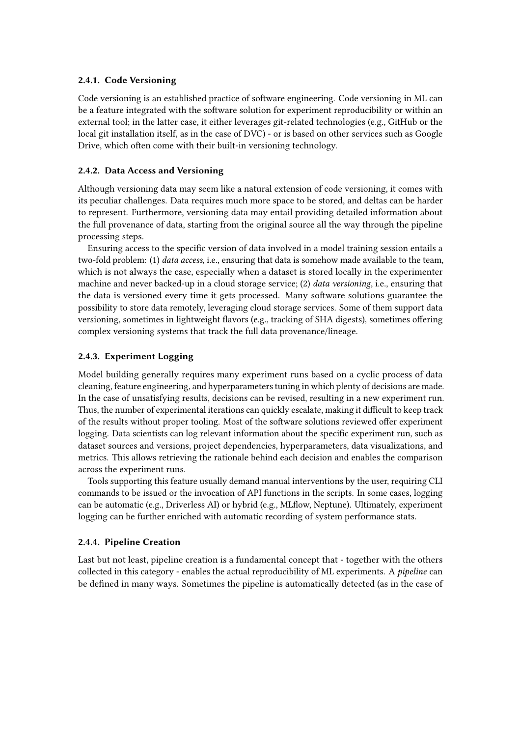### **2.4.1. Code Versioning**

Code versioning is an established practice of software engineering. Code versioning in ML can be a feature integrated with the software solution for experiment reproducibility or within an external tool; in the latter case, it either leverages git-related technologies (e.g., GitHub or the local git installation itself, as in the case of DVC) - or is based on other services such as Google Drive, which often come with their built-in versioning technology.

#### **2.4.2. Data Access and Versioning**

Although versioning data may seem like a natural extension of code versioning, it comes with its peculiar challenges. Data requires much more space to be stored, and deltas can be harder to represent. Furthermore, versioning data may entail providing detailed information about the full provenance of data, starting from the original source all the way through the pipeline processing steps.

Ensuring access to the specific version of data involved in a model training session entails a two-fold problem: (1) *data access*, i.e., ensuring that data is somehow made available to the team, which is not always the case, especially when a dataset is stored locally in the experimenter machine and never backed-up in a cloud storage service; (2) *data versioning*, i.e., ensuring that the data is versioned every time it gets processed. Many software solutions guarantee the possibility to store data remotely, leveraging cloud storage services. Some of them support data versioning, sometimes in lightweight flavors (e.g., tracking of SHA digests), sometimes offering complex versioning systems that track the full data provenance/lineage.

#### **2.4.3. Experiment Logging**

Model building generally requires many experiment runs based on a cyclic process of data cleaning, feature engineering, and hyperparameters tuning in which plenty of decisions are made. In the case of unsatisfying results, decisions can be revised, resulting in a new experiment run. Thus, the number of experimental iterations can quickly escalate, making it difficult to keep track of the results without proper tooling. Most of the software solutions reviewed offer experiment logging. Data scientists can log relevant information about the specific experiment run, such as dataset sources and versions, project dependencies, hyperparameters, data visualizations, and metrics. This allows retrieving the rationale behind each decision and enables the comparison across the experiment runs.

Tools supporting this feature usually demand manual interventions by the user, requiring CLI commands to be issued or the invocation of API functions in the scripts. In some cases, logging can be automatic (e.g., Driverless AI) or hybrid (e.g., MLflow, Neptune). Ultimately, experiment logging can be further enriched with automatic recording of system performance stats.

# **2.4.4. Pipeline Creation**

Last but not least, pipeline creation is a fundamental concept that - together with the others collected in this category - enables the actual reproducibility of ML experiments. A *pipeline* can be defined in many ways. Sometimes the pipeline is automatically detected (as in the case of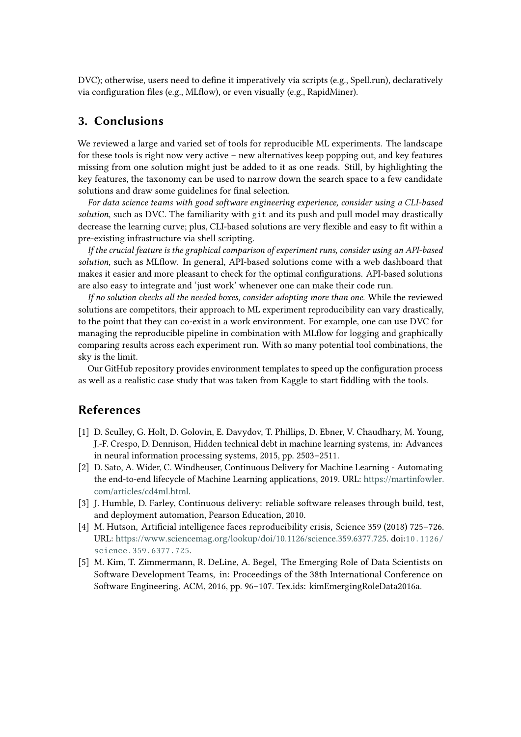DVC); otherwise, users need to define it imperatively via scripts (e.g., Spell.run), declaratively via configuration files (e.g., MLflow), or even visually (e.g., RapidMiner).

# **3. Conclusions**

We reviewed a large and varied set of tools for reproducible ML experiments. The landscape for these tools is right now very active – new alternatives keep popping out, and key features missing from one solution might just be added to it as one reads. Still, by highlighting the key features, the taxonomy can be used to narrow down the search space to a few candidate solutions and draw some guidelines for final selection.

*For data science teams with good software engineering experience, consider using a CLI-based solution*, such as DVC. The familiarity with git and its push and pull model may drastically decrease the learning curve; plus, CLI-based solutions are very flexible and easy to fit within a pre-existing infrastructure via shell scripting.

*If the crucial feature is the graphical comparison of experiment runs, consider using an API-based solution*, such as MLflow. In general, API-based solutions come with a web dashboard that makes it easier and more pleasant to check for the optimal configurations. API-based solutions are also easy to integrate and 'just work' whenever one can make their code run.

*If no solution checks all the needed boxes, consider adopting more than one.* While the reviewed solutions are competitors, their approach to ML experiment reproducibility can vary drastically, to the point that they can co-exist in a work environment. For example, one can use DVC for managing the reproducible pipeline in combination with MLflow for logging and graphically comparing results across each experiment run. With so many potential tool combinations, the sky is the limit.

Our GitHub repository provides environment templates to speed up the configuration process as well as a realistic case study that was taken from Kaggle to start fiddling with the tools.

# **References**

- [1] D. Sculley, G. Holt, D. Golovin, E. Davydov, T. Phillips, D. Ebner, V. Chaudhary, M. Young, J.-F. Crespo, D. Dennison, Hidden technical debt in machine learning systems, in: Advances in neural information processing systems, 2015, pp. 2503–2511.
- [2] D. Sato, A. Wider, C. Windheuser, Continuous Delivery for Machine Learning Automating the end-to-end lifecycle of Machine Learning applications, 2019. URL: [https://martinfowler.](https://martinfowler.com/articles/cd4ml.html) [com/articles/cd4ml.html.](https://martinfowler.com/articles/cd4ml.html)
- [3] J. Humble, D. Farley, Continuous delivery: reliable software releases through build, test, and deployment automation, Pearson Education, 2010.
- [4] M. Hutson, Artificial intelligence faces reproducibility crisis, Science 359 (2018) 725–726. URL: [https://www.sciencemag.org/lookup/doi/10.1126/science.359.6377.725.](https://www.sciencemag.org/lookup/doi/10.1126/science.359.6377.725) doi:[10.1126/](http://dx.doi.org/10.1126/science.359.6377.725) [science.359.6377.725](http://dx.doi.org/10.1126/science.359.6377.725).
- <span id="page-10-0"></span>[5] M. Kim, T. Zimmermann, R. DeLine, A. Begel, The Emerging Role of Data Scientists on Software Development Teams, in: Proceedings of the 38th International Conference on Software Engineering, ACM, 2016, pp. 96–107. Tex.ids: kimEmergingRoleData2016a.